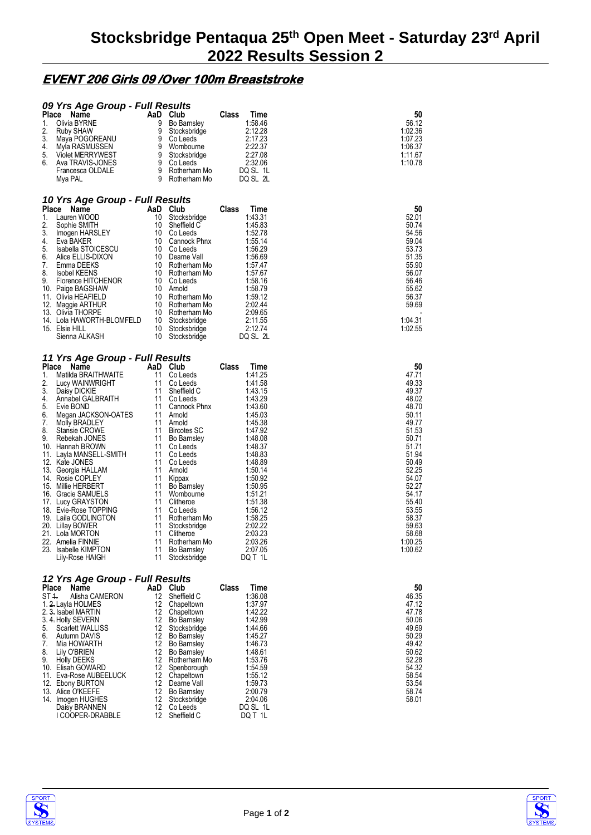## **EVENT 206 Girls 09 /Over 100m Breaststroke**

| 09 Yrs Age Group - Full Results<br>Place<br>Name<br>Olivia BYRNE<br>1.<br>2.<br>Ruby SHAW<br>3.<br>Maya POGOREANU<br>4.<br>Myla RASMUSSEN                                                                                                                                                                                                                                                                                                                                                                                                                                     | AaD Club<br>9<br>9<br>9<br>9                                                                                                           | <b>Bo Barnsley</b><br>Stocksbridge<br>Co Leeds<br>Wombourne                                                                                                                                                                                                                                                                                              | Class<br>Time<br>1:58.46<br>2:12.28<br>2:17.23<br>2:22.37                                                                                                                                                                                                                             | 50<br>56.12<br>1:02.36<br>1:07.23<br>1:06.37                                                                                                                                                                          |  |  |  |  |
|-------------------------------------------------------------------------------------------------------------------------------------------------------------------------------------------------------------------------------------------------------------------------------------------------------------------------------------------------------------------------------------------------------------------------------------------------------------------------------------------------------------------------------------------------------------------------------|----------------------------------------------------------------------------------------------------------------------------------------|----------------------------------------------------------------------------------------------------------------------------------------------------------------------------------------------------------------------------------------------------------------------------------------------------------------------------------------------------------|---------------------------------------------------------------------------------------------------------------------------------------------------------------------------------------------------------------------------------------------------------------------------------------|-----------------------------------------------------------------------------------------------------------------------------------------------------------------------------------------------------------------------|--|--|--|--|
| 5.<br><b>Violet MERRYWEST</b><br>6.<br>Ava TRAVIS-JONES<br>Francesca OLDALE<br>Mya PAL                                                                                                                                                                                                                                                                                                                                                                                                                                                                                        | 9<br>9<br>9<br>9                                                                                                                       | Stocksbridge<br>Co Leeds<br>Rotherham Mo<br>Rotherham Mo                                                                                                                                                                                                                                                                                                 | 2:27.08<br>2:32.06<br>DQ SL 1L<br>DQ SL 2L                                                                                                                                                                                                                                            | 1:11.67<br>1:10.78                                                                                                                                                                                                    |  |  |  |  |
| 10 Yrs Age Group - Full Results<br>Place Name                                                                                                                                                                                                                                                                                                                                                                                                                                                                                                                                 | AaD                                                                                                                                    | <b>Club</b>                                                                                                                                                                                                                                                                                                                                              | Class<br>Time                                                                                                                                                                                                                                                                         | 50                                                                                                                                                                                                                    |  |  |  |  |
| 1.<br>Lauren WOOD<br>2.<br>Sophie SMITH<br>3.<br>Imogen HARSLEY<br>4.<br>Eva BAKER<br>5.<br>Isabella STOICESCU<br>6.<br>Alice ELLIS-DIXON<br>7.<br>Emma DEEKS<br>8.<br><b>Isobel KEENS</b><br>9.<br>Florence HITCHENOR<br>10. Paige BAGSHAW<br>11. Olivia HEAFIELD                                                                                                                                                                                                                                                                                                            | 10<br>10<br>10<br>10<br>10<br>10                                                                                                       | Stocksbridge<br>Sheffield C<br>Co Leeds<br>Cannock Phnx<br>10 Co Leeds<br>10 Dearne Vall<br>Rotherham Mo<br>10 Rotherham Mo<br>10 Co Leeds<br>Arnold<br>10 Rotherham Mo                                                                                                                                                                                  | 1:43.31<br>1:45.83<br>1:52.78<br>1:55.14<br>1:56.29<br>1:56.69<br>1.57.47<br>1:57.67<br>1:58.16<br>1:58.79<br>1:59.12                                                                                                                                                                 | 52.01<br>50.74<br>54.56<br>59.04<br>53.73<br>51.35<br>55.90<br>56.07<br>56.46<br>55.62<br>56.37                                                                                                                       |  |  |  |  |
| 12. Maggie ARTHUR<br>13. Olivia THORPE<br>14. Lola HAWORTH-BLOMFELD<br>15. Elsie HILL<br>Sienna ALKASH                                                                                                                                                                                                                                                                                                                                                                                                                                                                        | 10<br>10                                                                                                                               | 10 Rotherham Mo<br>10 Rotherham Mo<br>10 Stocksbridge<br>Stocksbridge<br>Stocksbridge                                                                                                                                                                                                                                                                    | 2:02.44<br>2:09.65<br>2:11.55<br>2:12.74<br>DQ SL 2L                                                                                                                                                                                                                                  | 59.69<br>1:04.31<br>1:02.55                                                                                                                                                                                           |  |  |  |  |
| 11 Yrs Age Group - Full Results                                                                                                                                                                                                                                                                                                                                                                                                                                                                                                                                               |                                                                                                                                        |                                                                                                                                                                                                                                                                                                                                                          |                                                                                                                                                                                                                                                                                       |                                                                                                                                                                                                                       |  |  |  |  |
| Place<br>Name<br>Matilda BRAITHWAITE<br>1.<br>2.<br>Lucy WAINWRIGHT<br>3.<br>Daisy DICKIE<br>4.<br>Annabel GALBRAITH<br>5.<br>Evie BOND<br>6.<br>Megan JACKSON-OATES<br>7.<br>Molly BRADLEY<br>8.<br>Stansie CROWE<br>9.<br>Rebekah JONES<br>10. Hannah BROWN<br>11. Layla MANSELL-SMITH<br>12. Kate JONES<br>13. Georgia HALLAM<br>14. Rosie COPLEY<br>15. Millie HERBERT<br>16. Gracie SAMUELS<br>17. Lucy GRAYSTON<br>18. Evie-Rose TOPPING<br>19. Laila GODLINGTON<br>20. Lillay BOWER<br>21. Lola MORTON<br>22. Amelia FINNIE<br>23. Isabelle KIMPTON<br>Lily-Rose HAIGH | AaD Club<br>11<br>11<br>11<br>11<br>11<br>11<br>11<br>11<br>11<br>11<br>11<br>11<br>11<br>11<br>11<br>11<br>11<br>11<br>11<br>11<br>11 | Co Leeds<br>Co Leeds<br>Sheffield C<br>Co Leeds<br>Cannock Phnx<br>11 Arnold<br>11 Arnold<br><b>Bircotes SC</b><br>11 Bo Barnsley<br>Co Leeds<br>Co Leeds<br>Co Leeds<br>Arnold<br>Kippax<br><b>Bo Barnsley</b><br>Wombourne<br>Clitheroe<br>Co Leeds<br>Rotherham Mo<br>Stocksbridge<br>Clitheroe<br>Rotherham Mo<br><b>Bo Barnsley</b><br>Stocksbridge | Time<br>Class<br>1:41.25<br>1:41.58<br>1:43.15<br>1:43.29<br>1:43.60<br>1:45.03<br>1:45.38<br>1:47.92<br>1:48.08<br>1:48.37<br>1:48.83<br>1:48.89<br>1:50.14<br>1:50.92<br>1:50.95<br>1:51.21<br>1:51.38<br>1:56.12<br>1:58.25<br>2:02.22<br>2:03.23<br>2:03.26<br>2:07.05<br>DQ T 1L | 50<br>47.71<br>49.33<br>49.37<br>48.02<br>48.70<br>50.11<br>49.77<br>51.53<br>50.71<br>51.71<br>51.94<br>50.49<br>52.25<br>54.07<br>52.27<br>54.17<br>55.40<br>53.55<br>58.37<br>59.63<br>58.68<br>1:00.25<br>1:00.62 |  |  |  |  |
| 12 Yrs Age Group - Full Results<br><b>Place</b><br>Name<br>ST 4.<br>Alisha CAMERON<br>1. 2. Layla HOLMES<br>2. 3. Isabel MARTIN<br>3. 4. Holly SEVERN<br>5.<br>Scarlett WALLISS<br>6.<br>Autumn DAVIS<br>7.<br>Mia HOWARTH<br>8.<br>Lily O'BRIEN<br>9.<br><b>Holly DEEKS</b><br>10. Elisah GOWARD<br>11. Eva-Rose AUBEELUCK<br>12. Ebony BURTON<br>13. Alice O'KEEFE<br>14. Imogen HUGHES<br>Daisy BRANNEN                                                                                                                                                                    | AaD Club<br>12<br>12<br>12<br>12<br>12<br>12<br>12<br>12<br>12<br>12<br>12<br>12<br>12<br>12                                           | Sheffield C<br>Chapeltown<br>Chapeltown<br><b>Bo Barnsley</b><br>Stocksbridge<br><b>Bo Barnsley</b><br><b>Bo Barnsley</b><br>Bo Barnsley<br>Rotherham Mo<br>Spenborough<br>Chapeltown<br>Dearne Vall<br>Bo Barnsley<br>Stocksbridge<br>12 Co Leeds                                                                                                       | Class<br>Time<br>1:36.08<br>1:37.97<br>1:42.22<br>1:42.99<br>1:44.66<br>1:45.27<br>1:46.73<br>1:48.61<br>1:53.76<br>1:54.59<br>1:55.12<br>1:59.73<br>2:00.79<br>2:04.06<br>DQ SL 1L                                                                                                   | 50<br>46.35<br>47.12<br>47.78<br>50.06<br>49.69<br>50.29<br>49.42<br>50.62<br>52.28<br>54.32<br>58.54<br>53.54<br>58.74<br>58.01                                                                                      |  |  |  |  |





I COOPER-DRABBLE 12 Sheffield C DQ T 1L